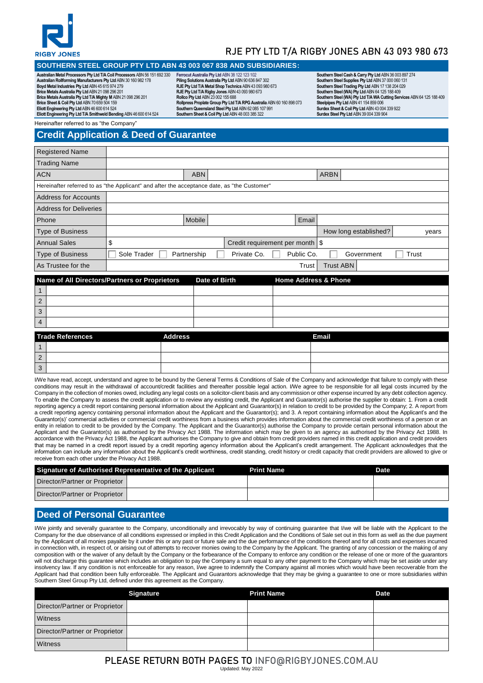

# RJE PTY LTD T/A RIGBY JONES ABN 43 093 980 673

### **SOUTHERN STEEL GROUP PTY LTD ABN 43 003 067 838 AND SUBSIDIARIES:**

**Australian Metal Processors Pty Ltd T/A Coil Processors** ABN 56 151 692 330 **Australian Rollforming Manufacturers Pty Ltd** ABN 30 160 982 178 **Boyd Metal Industries Pty Ltd** ABN 45 615 974 279 **Brice Metals Australia Pty Ltd** ABN 21 098 296 201 **Brice Metals Australia Pty Ltd T/A Mighty M** ABN 21 098 296 201 **Brice Sheet & Coil Pty Ltd** ABN 70 659 504 159 **Eliott Engineering Pty Ltd** ABN 46 600 614 524 **Eliott Engineering Pty Ltd T/A Smithweld Bending** ABN 46 600 614 524

**Ferrocut Australia Pty Ltd** ABN 38 122 123 102 **Piling Solutions Australia Pty Ltd** ABN 90 636 847 302 **RJE Pty Ltd T/A Metal Shop Technics** ABN 43 093 980 673 **RJE Pty Ltd T/A Rigby Jones** ABN 43 093 980 673 **Rollco Pty Ltd** ABN 23 002 155 688<br>**Rollpress Proplate Group Pty Ltd T/A RPG Australia** ABN 60 160 898 073<br>**Southern Queensland Steel Pty Ltd** ABN 62 085 107 991 **Southern Sheet & Coil Pty Ltd** ABN 48 003 385 322

**Southern Steel Cash & Carry Pty Ltd** ABN 36 003 897 274 **Southern Steel Supplies Pty Ltd** ABN 37 000 060 131 **Southern Steel Trading Pty Ltd** ABN 17 138 204 029 **Southern Steel (WA) Pty Ltd** ABN 64 125 188 409 **Southern Steel (WA) Pty Ltd T/A WA Cutting Services** ABN 64 125 188 409 **Steelpipes Pty Ltd** ABN 41 154 859 006 **Surdex Sheet & Coil Pty Ltd** ABN 43 004 339 922 **Surdex Steel Pty Ltd** ABN 39 004 339 904

Hereinafter referred to as "the Company"

# **Credit Application & Deed of Guarantee**

| <b>Registered Name</b>                                                                      |             |               |                                   |            |                                |
|---------------------------------------------------------------------------------------------|-------------|---------------|-----------------------------------|------------|--------------------------------|
| <b>Trading Name</b>                                                                         |             |               |                                   |            |                                |
| <b>ACN</b>                                                                                  |             | <b>ABN</b>    |                                   |            | <b>ARBN</b>                    |
| Hereinafter referred to as "the Applicant" and after the acceptance date, as "the Customer" |             |               |                                   |            |                                |
| <b>Address for Accounts</b>                                                                 |             |               |                                   |            |                                |
| <b>Address for Deliveries</b>                                                               |             |               |                                   |            |                                |
| Phone                                                                                       |             | <b>Mobile</b> |                                   | Email      |                                |
| <b>Type of Business</b>                                                                     |             |               |                                   |            | How long established?<br>years |
| <b>Annual Sales</b>                                                                         | \$          |               | Credit requirement per month   \$ |            |                                |
| <b>Type of Business</b>                                                                     | Sole Trader | Partnership   | Private Co.                       | Public Co. | Government<br>Trust            |
| As Trustee for the                                                                          |             |               |                                   | Trust      | <b>Trust ABN</b>               |

|                | Name of All Directors/Partners or Proprietors |                | Date of Birth | <b>Home Address &amp; Phone</b> |
|----------------|-----------------------------------------------|----------------|---------------|---------------------------------|
|                |                                               |                |               |                                 |
| $\overline{2}$ |                                               |                |               |                                 |
| 3              |                                               |                |               |                                 |
| $\overline{4}$ |                                               |                |               |                                 |
|                | <b>Trade References</b>                       | <b>Address</b> |               | <b>Email</b>                    |
|                |                                               |                |               |                                 |

|               | <b>THANG INGRESSIONS</b> | <b>Russia</b> | ------ |
|---------------|--------------------------|---------------|--------|
|               |                          |               |        |
| $\sim$<br>∼   |                          |               |        |
| $\Omega$<br>Ω |                          |               |        |

I/We have read, accept, understand and agree to be bound by the General Terms & Conditions of Sale of the Company and acknowledge that failure to comply with these conditions may result in the withdrawal of account/credit facilities and thereafter possible legal action. I/We agree to be responsible for all legal costs incurred by the Company in the collection of monies owed, including any legal costs on a solicitor-client basis and any commission or other expense incurred by any debt collection agency. To enable the Company to assess the credit application or to review any existing credit, the Applicant and Guarantor(s) authorise the supplier to obtain: 1. From a credit reporting agency a credit report containing personal information about the Applicant and Guarantor(s) in relation to credit to be provided by the Company; 2. A report from a credit reporting agency containing personal information about the Applicant and the Guarantor(s); and 3. A report containing information about the Applicant's and the Guarantor(s)' commercial activities or commercial credit worthiness from a business which provides information about the commercial credit worthiness of a person or an entity in relation to credit to be provided by the Company. The Applicant and the Guarantor(s) authorise the Company to provide certain personal information about the Applicant and the Guarantor(s) as authorised by the Privacy Act 1988. The information which may be given to an agency as authorised by the Privacy Act 1988. In accordance with the Privacy Act 1988, the Applicant authorises the Company to give and obtain from credit providers named in this credit application and credit providers that may be named in a credit report issued by a credit reporting agency information about the Applicant's credit arrangement. The Applicant acknowledges that the information can include any information about the Applicant's credit worthiness, credit standing, credit history or credit capacity that credit providers are allowed to give or receive from each other under the Privacy Act 1988.

| Signature of Authorised Representative of the Applicant | <b>Print Name</b> | Date |
|---------------------------------------------------------|-------------------|------|
| Director/Partner or Proprietor                          |                   |      |
| Director/Partner or Proprietor                          |                   |      |

## **Deed of Personal Guarantee**

I/We jointly and severally guarantee to the Company, unconditionally and irrevocably by way of continuing guarantee that I/we will be liable with the Applicant to the Company for the due observance of all conditions expressed or implied in this Credit Application and the Conditions of Sale set out in this form as well as the due payment by the Applicant of all monies payable by it under this or any past or future sale and the due performance of the conditions thereof and for all costs and expenses incurred in connection with, in respect of, or arising out of attempts to recover monies owing to the Company by the Applicant. The granting of any concession or the making of any composition with or the waiver of any default by the Company or the forbearance of the Company to enforce any condition or the release of one or more of the guarantors will not discharge this guarantee which includes an obligation to pay the Company a sum equal to any other payment to the Company which may be set aside under any insolvency law. If any condition is not enforceable for any reason, I/we agree to indemnify the Company against all monies which would have been recoverable from the Applicant had that condition been fully enforceable. The Applicant and Guarantors acknowledge that they may be giving a guarantee to one or more subsidiaries within Southern Steel Group Pty Ltd, defined under this agreement as the Company.

|                                | <b>Signature</b> | <b>Print Name</b> | <b>Date</b> |
|--------------------------------|------------------|-------------------|-------------|
| Director/Partner or Proprietor |                  |                   |             |
| Witness                        |                  |                   |             |
| Director/Partner or Proprietor |                  |                   |             |
| Witness                        |                  |                   |             |

### PLEASE RETURN BOTH PAGES TO INFO@RIGBYJONES.COM.AU Updated: May 2022